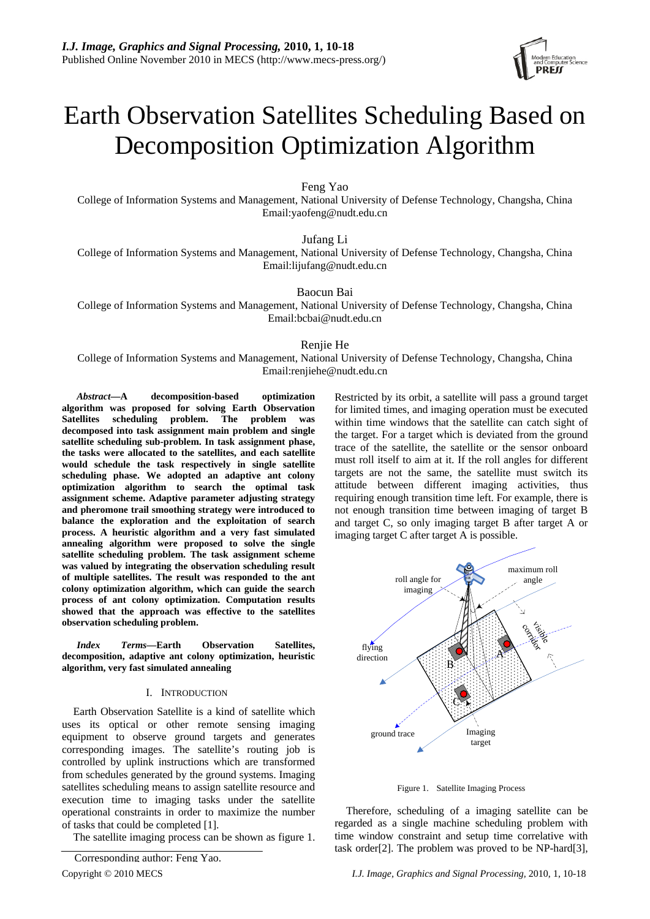# Earth Observation Satellites Scheduling Based on Decomposition Optimization Algorithm

Feng Yao

College of Information Systems and Management, National University of Defense Technology, Changsha, China Email:yaofeng@nudt.edu.cn

Jufang Li

College of Information Systems and Management, National University of Defense Technology, Changsha, China Email:lijufang@nudt.edu.cn

Baocun Bai

College of Information Systems and Management, National University of Defense Technology, Changsha, China Email:bcbai@nudt.edu.cn

# Renjie He

College of Information Systems and Management, National University of Defense Technology, Changsha, China Email:renjiehe@nudt.edu.cn

*Abstract***—A decomposition-based optimization algorithm was proposed for solving Earth Observation Satellites scheduling problem. The problem was decomposed into task assignment main problem and single satellite scheduling sub-problem. In task assignment phase, the tasks were allocated to the satellites, and each satellite would schedule the task respectively in single satellite scheduling phase. We adopted an adaptive ant colony optimization algorithm to search the optimal task assignment scheme. Adaptive parameter adjusting strategy and pheromone trail smoothing strategy were introduced to balance the exploration and the exploitation of search process. A heuristic algorithm and a very fast simulated annealing algorithm were proposed to solve the single satellite scheduling problem. The task assignment scheme was valued by integrating the observation scheduling result of multiple satellites. The result was responded to the ant colony optimization algorithm, which can guide the search process of ant colony optimization. Computation results showed that the approach was effective to the satellites observation scheduling problem.** 

*Index Terms***—Earth Observation Satellites, decomposition, adaptive ant colony optimization, heuristic algorithm, very fast simulated annealing** 

### I. INTRODUCTION

Earth Observation Satellite is a kind of satellite which uses its optical or other remote sensing imaging equipment to observe ground targets and generates corresponding images. The satellite's routing job is controlled by uplink instructions which are transformed from schedules generated by the ground systems. Imaging satellites scheduling means to assign satellite resource and execution time to imaging tasks under the satellite operational constraints in order to maximize the number of tasks that could be completed [1].

The satellite imaging process can be shown as figure 1.

Restricted by its orbit, a satellite will pass a ground target for limited times, and imaging operation must be executed within time windows that the satellite can catch sight of the target. For a target which is deviated from the ground trace of the satellite, the satellite or the sensor onboard must roll itself to aim at it. If the roll angles for different targets are not the same, the satellite must switch its attitude between different imaging activities, thus requiring enough transition time left. For example, there is not enough transition time between imaging of target B and target C, so only imaging target B after target A or imaging target C after target A is possible.



Figure 1. Satellite Imaging Process

Therefore, scheduling of a imaging satellite can be regarded as a single machine scheduling problem with time window constraint and setup time correlative with The problem was proved to be NP-hard[3], Corresponding author: Feng Yao.

Copyright © 2010 MECS *I.J. Image, Graphics and Signal Processing,* 2010, 1, 10-18

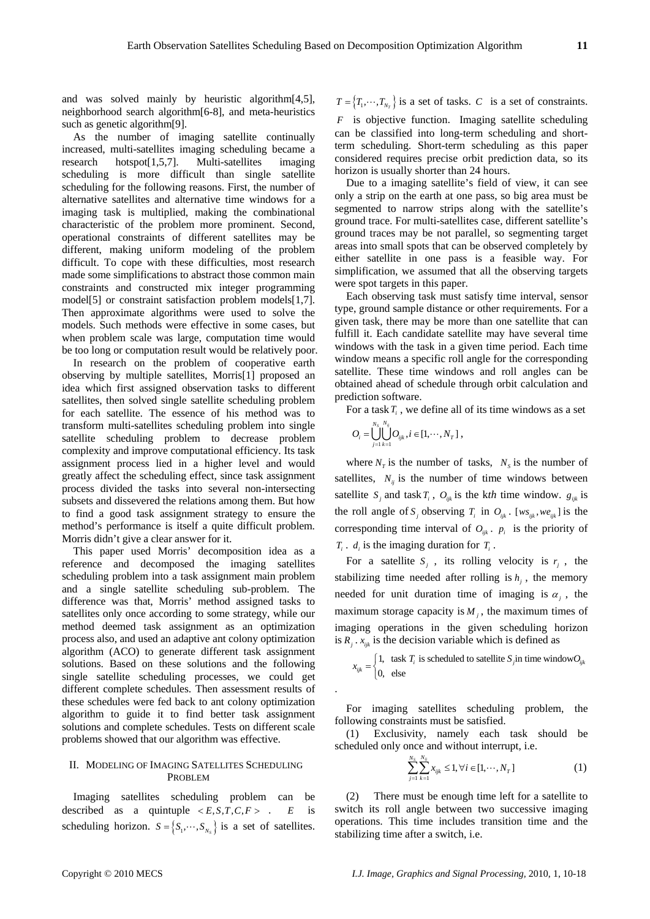and was solved mainly by heuristic algorithm[4,5], neighborhood search algorithm[6-8], and meta-heuristics such as genetic algorithm<sup>[9]</sup>.

As the number of imaging satellite continually increased, multi-satellites imaging scheduling became a research hotspot[1,5,7]. Multi-satellites imaging scheduling is more difficult than single satellite scheduling for the following reasons. First, the number of alternative satellites and alternative time windows for a imaging task is multiplied, making the combinational characteristic of the problem more prominent. Second, operational constraints of different satellites may be different, making uniform modeling of the problem difficult. To cope with these difficulties, most research made some simplifications to abstract those common main constraints and constructed mix integer programming model[5] or constraint satisfaction problem models[1,7]. Then approximate algorithms were used to solve the models. Such methods were effective in some cases, but when problem scale was large, computation time would be too long or computation result would be relatively poor.

In research on the problem of cooperative earth observing by multiple satellites, Morris[1] proposed an idea which first assigned observation tasks to different satellites, then solved single satellite scheduling problem for each satellite. The essence of his method was to transform multi-satellites scheduling problem into single satellite scheduling problem to decrease problem complexity and improve computational efficiency. Its task assignment process lied in a higher level and would greatly affect the scheduling effect, since task assignment process divided the tasks into several non-intersecting subsets and dissevered the relations among them. But how to find a good task assignment strategy to ensure the method's performance is itself a quite difficult problem. Morris didn't give a clear answer for it.

This paper used Morris' decomposition idea as a reference and decomposed the imaging satellites scheduling problem into a task assignment main problem and a single satellite scheduling sub-problem. The difference was that, Morris' method assigned tasks to satellites only once according to some strategy, while our method deemed task assignment as an optimization process also, and used an adaptive ant colony optimization algorithm (ACO) to generate different task assignment solutions. Based on these solutions and the following single satellite scheduling processes, we could get different complete schedules. Then assessment results of these schedules were fed back to ant colony optimization algorithm to guide it to find better task assignment solutions and complete schedules. Tests on different scale problems showed that our algorithm was effective.

## II. MODELING OF IMAGING SATELLITES SCHEDULING PROBLEM

Imaging satellites scheduling problem can be described as a quintuple  $\langle E, S, T, C, F \rangle$ .  $E$  is scheduling horizon.  $S = \{S_1, \dots, S_{N_S}\}\$ is a set of satellites. *E*

 $T = \{T_1, \dots, T_{N_T}\}$  is a set of tasks. *C* is a set of constraints.

*F* is objective function. Imaging satellite scheduling can be classified into long-term scheduling and shortterm scheduling. Short-term scheduling as this paper considered requires precise orbit prediction data, so its horizon is usually shorter than 24 hours.

Due to a imaging satellite's field of view, it can see only a strip on the earth at one pass, so big area must be segmented to narrow strips along with the satellite's ground trace. For multi-satellites case, different satellite's ground traces may be not parallel, so segmenting target areas into small spots that can be observed completely by either satellite in one pass is a feasible way. For simplification, we assumed that all the observing targets were spot targets in this paper.

Each observing task must satisfy time interval, sensor type, ground sample distance or other requirements. For a given task, there may be more than one satellite that can fulfill it. Each candidate satellite may have several time windows with the task in a given time period. Each time window means a specific roll angle for the corresponding satellite. These time windows and roll angles can be obtained ahead of schedule through orbit calculation and prediction software.

For a task  $T_i$ , we define all of its time windows as a set

$$
O_i = \bigcup_{j=1}^{N_S} \bigcup_{k=1}^{N_{ij}} O_{ijk}, i \in [1, \cdots, N_T],
$$

.

where  $N_T$  is the number of tasks,  $N_S$  is the number of satellites,  $N_{ii}$  is the number of time windows between satellite  $S_i$  and task  $T_i$ ,  $O_{ijk}$  is the kth time window.  $g_{ijk}$  is the roll angle of  $S_j$  observing  $T_i$  in  $O_{ijk}$ . [ $ws_{ijk}$ ,  $we_{ijk}$ ] is the corresponding time interval of  $O_{ijk}$ .  $p_i$  is the priority of  $T_i$ .  $d_i$  is the imaging duration for  $T_i$ .

For a satellite  $S_i$ , its rolling velocity is  $r_i$ , the stabilizing time needed after rolling is  $h_i$ , the memory needed for unit duration time of imaging is  $\alpha_i$ , the maximum storage capacity is  $M_i$ , the maximum times of imaging operations in the given scheduling horizon is  $R_i$ .  $x_{ijk}$  is the decision variable which is defined as

$$
x_{ijk} = \begin{cases} 1, & \text{task } T_i \text{ is scheduled to satellite } S_j \text{ in time window} O_{ijk} \\ 0, & \text{else} \end{cases}
$$

For imaging satellites scheduling problem, the following constraints must be satisfied.

(1) Exclusivity, namely each task should be scheduled only once and without interrupt, i.e.

$$
\sum_{j=1}^{N_S} \sum_{k=1}^{N_{ij}} x_{ijk} \le 1, \forall i \in [1, \cdots, N_T]
$$
 (1)

(2) There must be enough time left for a satellite to switch its roll angle between two successive imaging operations. This time includes transition time and the stabilizing time after a switch, i.e.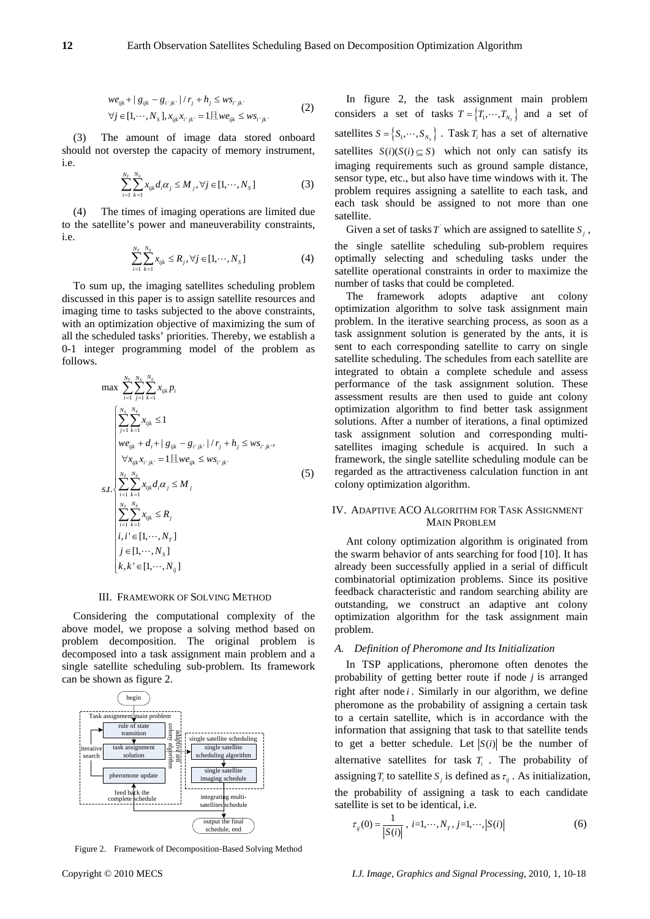$$
we_{ijk} + |g_{ijk} - g_{i^*jk^*}| / r_j + h_j \le ws_{i^*jk^*}
$$
  
\n
$$
\forall j \in [1, \cdots, N_s], x_{ijk} x_{i^*jk^*} = 1 \text{H} we_{ijk} \le ws_{i^*jk^*}
$$
 (2)

(3) The amount of image data stored onboard should not overstep the capacity of memory instrument, i.e.

$$
\sum_{i=1}^{N_T} \sum_{k=1}^{N_y} x_{ijk} d_i \alpha_j \le M_j, \forall j \in [1, \cdots, N_s]
$$
 (3)

(4) The times of imaging operations are limited due to the satellite's power and maneuverability constraints, i.e.

$$
\sum_{i=1}^{N_T} \sum_{k=1}^{N_{ij}} x_{ijk} \le R_j, \forall j \in [1, \cdots, N_S]
$$
 (4)

To sum up, the imaging satellites scheduling problem discussed in this paper is to assign satellite resources and imaging time to tasks subjected to the above constraints, with an optimization objective of maximizing the sum of all the scheduled tasks' priorities. Thereby, we establish a 0-1 integer programming model of the problem as follows.

$$
\max \sum_{i=1}^{N_r} \sum_{j=1}^{N_s} \sum_{k=1}^{N_{ij}} x_{ijk} p_i
$$
\n
$$
\begin{cases}\n\sum_{j=1}^{N_s} \sum_{k=1}^{N_{ij}} x_{ijk} \le 1 \\
\text{we}_{ijk} + d_i + |g_{ijk} - g_{i^*jk^*}| / r_j + h_j \le \text{ws}_{i^*jk^*}, \\
\forall x_{ijk} x_{i^*jk^*} = 1 \boxplus \text{we}_{ijk} \le \text{ws}_{i^*jk^*}, \\
s.t. \sum_{i=1}^{N_r} \sum_{k=1}^{N_{ij}} x_{ijk} d_i \alpha_j \le M_j \\
\sum_{i=1}^{N_r} \sum_{k=1}^{N_{ij}} x_{ijk} \le R_j \\
i, i^* \in [1, \dots, N_r] \\
j \in [1, \dots, N_s] \\
k, k^* \in [1, \dots, N_{ij}]\n\end{cases} (5)
$$

#### III. FRAMEWORK OF SOLVING METHOD

Considering the computational complexity of the above model, we propose a solving method based on problem decomposition. The original problem is decomposed into a task assignment main problem and a single satellite scheduling sub-problem. Its framework can be shown as figure 2.



Figure 2. Framework of Decomposition-Based Solving Method

In figure 2, the task assignment main problem considers a set of tasks  $T = \{T_1, \dots, T_{N_r}\}\$  and a set of satellites  $S = \{S_1, \dots, S_{N_s}\}\$ . Task  $T_i$  has a set of alternative satellites  $S(i)(S(i) \subseteq S)$  which not only can satisfy its imaging requirements such as ground sample distance, sensor type, etc., but also have time windows with it. The problem requires assigning a satellite to each task, and each task should be assigned to not more than one satellite.

Given a set of tasks  $T$  which are assigned to satellite  $S_i$ , the single satellite scheduling sub-problem requires optimally selecting and scheduling tasks under the satellite operational constraints in order to maximize the number of tasks that could be completed.

The framework adopts adaptive ant colony optimization algorithm to solve task assignment main problem. In the iterative searching process, as soon as a task assignment solution is generated by the ants, it is sent to each corresponding satellite to carry on single satellite scheduling. The schedules from each satellite are integrated to obtain a complete schedule and assess performance of the task assignment solution. These assessment results are then used to guide ant colony optimization algorithm to find better task assignment solutions. After a number of iterations, a final optimized task assignment solution and corresponding multisatellites imaging schedule is acquired. In such a framework, the single satellite scheduling module can be regarded as the attractiveness calculation function in ant colony optimization algorithm.

# IV. ADAPTIVE ACO ALGORITHM FOR TASK ASSIGNMENT MAIN PROBLEM

Ant colony optimization algorithm is originated from the swarm behavior of ants searching for food [10]. It has already been successfully applied in a serial of difficult combinatorial optimization problems. Since its positive feedback characteristic and random searching ability are outstanding, we construct an adaptive ant colony optimization algorithm for the task assignment main problem.

#### *A. Definition of Pheromone and Its Initialization*

In TSP applications, pheromone often denotes the probability of getting better route if node *j* is arranged right after node  $i$ . Similarly in our algorithm, we define pheromone as the probability of assigning a certain task to a certain satellite, which is in accordance with the information that assigning that task to that satellite tends to get a better schedule. Let  $|S(i)|$  be the number of alternative satellites for task  $T_i$ . The probability of assigning  $T_i$  to satellite  $S_j$  is defined as  $\tau_{ij}$ . As initialization, the probability of assigning a task to each candidate satellite is set to be identical, i.e.

$$
\tau_{ij}(0) = \frac{1}{|S(i)|}, \ i = 1, \cdots, N_T, \ j = 1, \cdots, |S(i)|
$$
 (6)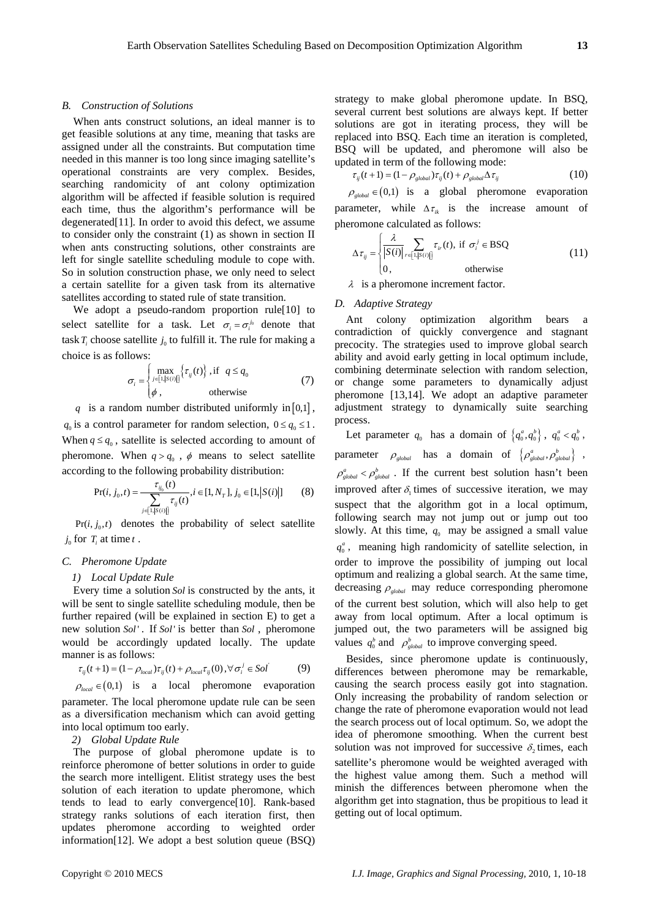# *B. Construction of Solutions*

When ants construct solutions, an ideal manner is to get feasible solutions at any time, meaning that tasks are assigned under all the constraints. But computation time needed in this manner is too long since imaging satellite's operational constraints are very complex. Besides, searching randomicity of ant colony optimization algorithm will be affected if feasible solution is required each time, thus the algorithm's performance will be degenerated[11]. In order to avoid this defect, we assume to consider only the constraint (1) as shown in section II when ants constructing solutions, other constraints are left for single satellite scheduling module to cope with. So in solution construction phase, we only need to select a certain satellite for a given task from its alternative satellites according to stated rule of state transition.

We adopt a pseudo-random proportion rule[10] to select satellite for a task. Let  $\sigma_i = \sigma_i^{j_0}$  denote that task  $T_i$  choose satellite  $j_0$  to fulfill it. The rule for making a choice is as follows:

$$
\sigma_i = \begin{cases} \max_{j \in [1, |S(i)|]} \{ \tau_{ij}(t) \}, \text{if } q \le q_0 \\ \phi, \text{ otherwise} \end{cases} \tag{7}
$$

*q* is a random number distributed uniformly in [0,1],  $q_0$  is a control parameter for random selection,  $0 \le q_0 \le 1$ . When  $q \leq q_0$ , satellite is selected according to amount of pheromone. When  $q > q_0$ ,  $\phi$  means to select satellite according to the following probability distribution:

$$
\Pr(i, j_0, t) = \frac{\tau_{ij_0}(t)}{\sum_{j \in [1, |S(i)|]} \tau_{ij}(t)}, i \in [1, N_T], j_0 \in [1, |S(i)|] \tag{8}
$$

 $Pr(i, j_0, t)$  denotes the probability of select satellite  $j_0$  for  $T_i$  at time  $t$ .

#### *C. Pheromone Update*

#### *1) Local Update Rule*

Every time a solution *Sol* is constructed by the ants, it will be sent to single satellite scheduling module, then be further repaired (will be explained in section E) to get a new solution *Sol'*. If *Sol'* is better than *Sol*, pheromone would be accordingly updated locally. The update manner is as follows:

$$
\tau_{ij}(t+1) = (1 - \rho_{local})\tau_{ij}(t) + \rho_{local}\tau_{ij}(0), \forall \sigma_i^j \in Sol
$$
 (9)

$$
\rho_{\text{local}} \in (0,1)
$$
 is a local pheromone evaporation

parameter. The local pheromone update rule can be seen as a diversification mechanism which can avoid getting into local optimum too early.

# *2) Global Update Rule*

The purpose of global pheromone update is to reinforce pheromone of better solutions in order to guide the search more intelligent. Elitist strategy uses the best solution of each iteration to update pheromone, which tends to lead to early convergence[10]. Rank-based strategy ranks solutions of each iteration first, then updates pheromone according to weighted order information[12]. We adopt a best solution queue (BSQ)

strategy to make global pheromone update. In BSQ, several current best solutions are always kept. If better solutions are got in iterating process, they will be replaced into BSQ. Each time an iteration is completed, BSQ will be updated, and pheromone will also be updated in term of the following mode:

$$
\tau_{ij}(t+1) = (1 - \rho_{global})\tau_{ij}(t) + \rho_{global}\Delta\tau_{ij}
$$
\n(10)

 $\rho_{\text{global}} \in (0,1)$  is a global pheromone evaporation parameter, while  $\Delta \tau_{ik}$  is the increase amount of pheromone calculated as follows:

$$
\Delta \tau_{ij} = \begin{cases}\n\frac{\lambda}{|S(i)|} \sum_{r \in [1, |S(i)|]} \tau_{ir}(t), & \text{if } \sigma_i^j \in \text{BSQ} \\
0, & \text{otherwise}\n\end{cases}
$$
\n(11)

<sup>λ</sup> is a pheromone increment factor.

# *D. Adaptive Strategy*

Ant colony optimization algorithm bears a contradiction of quickly convergence and stagnant precocity. The strategies used to improve global search ability and avoid early getting in local optimum include, combining determinate selection with random selection, or change some parameters to dynamically adjust pheromone [13,14]. We adopt an adaptive parameter adjustment strategy to dynamically suite searching process.

Let parameter  $q_0$  has a domain of  $\{q_0^a, q_0^b\}$ ,  $q_0^a < q_0^b$ , parameter  $\rho_{\text{global}}$  has a domain of  $\{\rho_{\text{global}}^a, \rho_{\text{global}}^b\}$ ,  $\rho_{global}^a < \rho_{global}^b$ . If the current best solution hasn't been improved after  $\delta$  times of successive iteration, we may suspect that the algorithm got in a local optimum, following search may not jump out or jump out too slowly. At this time,  $q_0$  may be assigned a small value  $q_0^a$ , meaning high randomicity of satellite selection, in order to improve the possibility of jumping out local optimum and realizing a global search. At the same time, decreasing  $\rho_{global}$  may reduce corresponding pheromone of the current best solution, which will also help to get away from local optimum. After a local optimum is jumped out, the two parameters will be assigned big values  $q_0^b$  and  $\rho_{global}^b$  to improve converging speed.

Besides, since pheromone update is continuously, differences between pheromone may be remarkable, causing the search process easily got into stagnation. Only increasing the probability of random selection or change the rate of pheromone evaporation would not lead the search process out of local optimum. So, we adopt the idea of pheromone smoothing. When the current best solution was not improved for successive  $\delta$  times, each satellite's pheromone would be weighted averaged with the highest value among them. Such a method will minish the differences between pheromone when the algorithm get into stagnation, thus be propitious to lead it getting out of local optimum.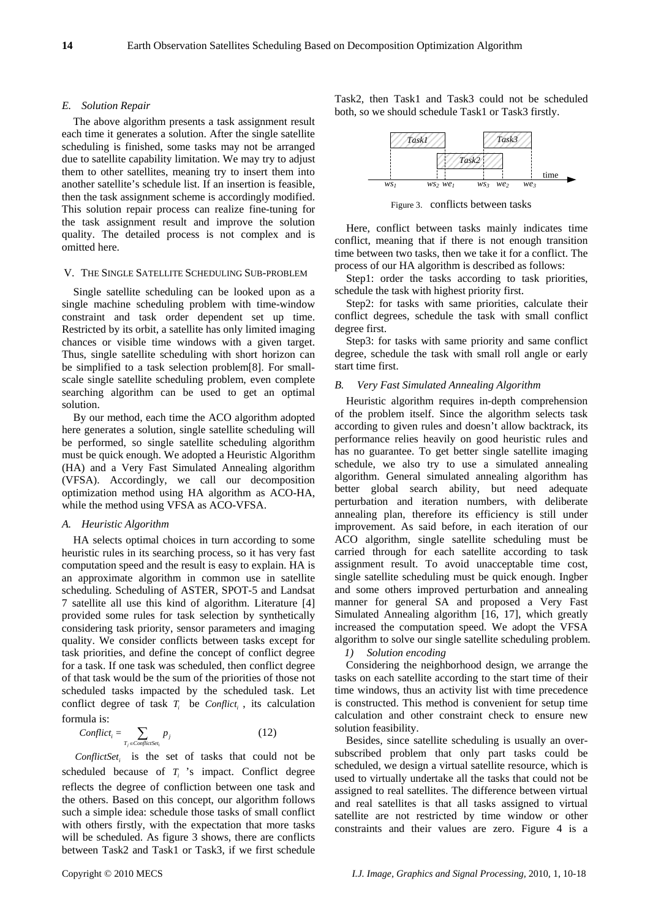#### *E. Solution Repair*

The above algorithm presents a task assignment result each time it generates a solution. After the single satellite scheduling is finished, some tasks may not be arranged due to satellite capability limitation. We may try to adjust them to other satellites, meaning try to insert them into another satellite's schedule list. If an insertion is feasible, then the task assignment scheme is accordingly modified. This solution repair process can realize fine-tuning for the task assignment result and improve the solution quality. The detailed process is not complex and is omitted here.

# V. THE SINGLE SATELLITE SCHEDULING SUB-PROBLEM

Single satellite scheduling can be looked upon as a single machine scheduling problem with time-window constraint and task order dependent set up time. Restricted by its orbit, a satellite has only limited imaging chances or visible time windows with a given target. Thus, single satellite scheduling with short horizon can be simplified to a task selection problem[8]. For smallscale single satellite scheduling problem, even complete searching algorithm can be used to get an optimal solution.

By our method, each time the ACO algorithm adopted here generates a solution, single satellite scheduling will be performed, so single satellite scheduling algorithm must be quick enough. We adopted a Heuristic Algorithm (HA) and a Very Fast Simulated Annealing algorithm (VFSA). Accordingly, we call our decomposition optimization method using HA algorithm as ACO-HA, while the method using VFSA as ACO-VFSA.

#### *A. Heuristic Algorithm*

HA selects optimal choices in turn according to some heuristic rules in its searching process, so it has very fast computation speed and the result is easy to explain. HA is an approximate algorithm in common use in satellite scheduling. Scheduling of ASTER, SPOT-5 and Landsat 7 satellite all use this kind of algorithm. Literature [4] provided some rules for task selection by synthetically considering task priority, sensor parameters and imaging quality. We consider conflicts between tasks except for task priorities, and define the concept of conflict degree for a task. If one task was scheduled, then conflict degree of that task would be the sum of the priorities of those not scheduled tasks impacted by the scheduled task. Let conflict degree of task  $T_i$  be *Conflict<sub>i</sub>*, its calculation formula is:

$$
Conflict_i = \sum_{T_j \in Conflictset_i} p_j \tag{12}
$$

ConflictSet<sub>i</sub> is the set of tasks that could not be scheduled because of  $T_i$  's impact. Conflict degree reflects the degree of confliction between one task and the others. Based on this concept, our algorithm follows such a simple idea: schedule those tasks of small conflict with others firstly, with the expectation that more tasks will be scheduled. As figure 3 shows, there are conflicts between Task2 and Task1 or Task3, if we first schedule

Task2, then Task1 and Task3 could not be scheduled both, so we should schedule Task1 or Task3 firstly.



Figure 3. conflicts between tasks

Here, conflict between tasks mainly indicates time conflict, meaning that if there is not enough transition time between two tasks, then we take it for a conflict. The process of our HA algorithm is described as follows:

Step1: order the tasks according to task priorities, schedule the task with highest priority first.

Step2: for tasks with same priorities, calculate their conflict degrees, schedule the task with small conflict degree first.

Step3: for tasks with same priority and same conflict degree, schedule the task with small roll angle or early start time first.

#### *B. Very Fast Simulated Annealing Algorithm*

Heuristic algorithm requires in-depth comprehension of the problem itself. Since the algorithm selects task according to given rules and doesn't allow backtrack, its performance relies heavily on good heuristic rules and has no guarantee. To get better single satellite imaging schedule, we also try to use a simulated annealing algorithm. General simulated annealing algorithm has better global search ability, but need adequate perturbation and iteration numbers, with deliberate annealing plan, therefore its efficiency is still under improvement. As said before, in each iteration of our ACO algorithm, single satellite scheduling must be carried through for each satellite according to task assignment result. To avoid unacceptable time cost, single satellite scheduling must be quick enough. Ingber and some others improved perturbation and annealing manner for general SA and proposed a Very Fast Simulated Annealing algorithm [16, 17], which greatly increased the computation speed. We adopt the VFSA algorithm to solve our single satellite scheduling problem.

# *1) Solution encoding*

Considering the neighborhood design, we arrange the tasks on each satellite according to the start time of their time windows, thus an activity list with time precedence is constructed. This method is convenient for setup time calculation and other constraint check to ensure new solution feasibility.

Besides, since satellite scheduling is usually an oversubscribed problem that only part tasks could be scheduled, we design a virtual satellite resource, which is used to virtually undertake all the tasks that could not be assigned to real satellites. The difference between virtual and real satellites is that all tasks assigned to virtual satellite are not restricted by time window or other constraints and their values are zero. Figure 4 is a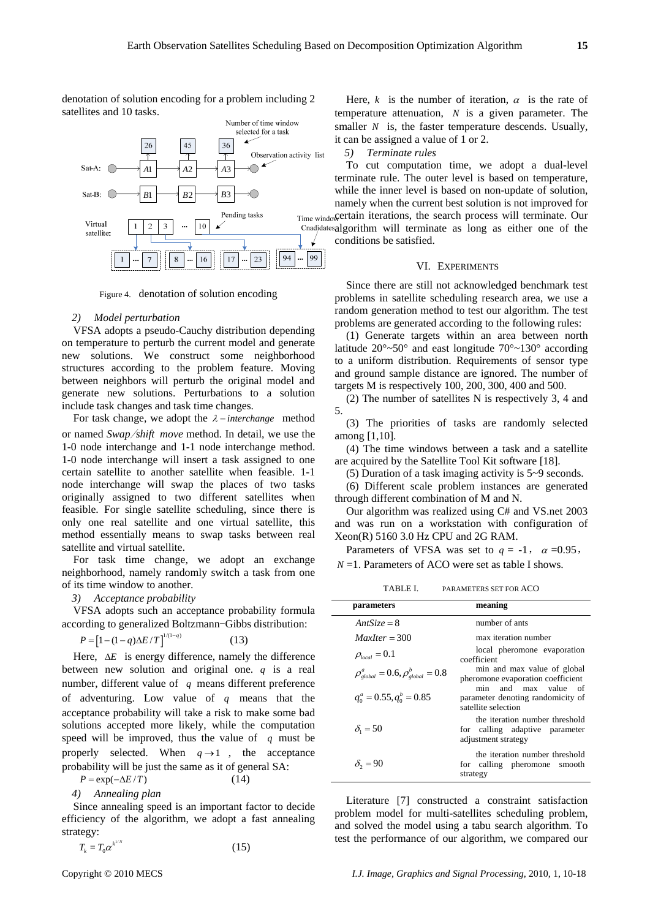denotation of solution encoding for a problem including 2 satellites and 10 tasks.



Figure 4. denotation of solution encoding

#### *2) Model perturbation*

VFSA adopts a pseudo-Cauchy distribution depending on temperature to perturb the current model and generate new solutions. We construct some neighborhood structures according to the problem feature. Moving between neighbors will perturb the original model and generate new solutions. Perturbations to a solution include task changes and task time changes.

For task change, we adopt the <sup>λ</sup> − *interchange* method or named *Swap*/*shift move* method. In detail, we use the 1-0 node interchange and 1-1 node interchange method. 1-0 node interchange will insert a task assigned to one certain satellite to another satellite when feasible. 1-1 node interchange will swap the places of two tasks originally assigned to two different satellites when feasible. For single satellite scheduling, since there is only one real satellite and one virtual satellite, this method essentially means to swap tasks between real satellite and virtual satellite.

For task time change, we adopt an exchange neighborhood, namely randomly switch a task from one of its time window to another.

*3) Acceptance probability* 

VFSA adopts such an acceptance probability formula according to generalized Boltzmann-Gibbs distribution:

$$
P = [1 - (1 - q)\Delta E/T]^{1/(1-q)}
$$
 (13)

Here, Δ*E* is energy difference, namely the difference between new solution and original one. *q* is a real number, different value of *q* means different preference of adventuring. Low value of *q* means that the acceptance probability will take a risk to make some bad solutions accepted more likely, while the computation speed will be improved, thus the value of *q* must be properly selected. When  $q \rightarrow 1$ , the acceptance probability will be just the same as it of general SA:

 $P = \exp(-\Delta E/T)$  (14)

*4) Annealing plan* 

Since annealing speed is an important factor to decide efficiency of the algorithm, we adopt a fast annealing strategy:

$$
T_k = T_0 \alpha^{k^{1/N}} \tag{15}
$$

Here,  $k$  is the number of iteration,  $\alpha$  is the rate of temperature attenuation, *N* is a given parameter. The smaller *N* is, the faster temperature descends. Usually, it can be assigned a value of 1 or 2.

# *5) Terminate rules*

To cut computation time, we adopt a dual-level terminate rule. The outer level is based on temperature, while the inner level is based on non-update of solution, namely when the current best solution is not improved for

Time windo certain iterations, the search process will terminate. Our Cnadidatesalgorithm will terminate as long as either one of the conditions be satisfied.

#### VI. EXPERIMENTS

Since there are still not acknowledged benchmark test problems in satellite scheduling research area, we use a random generation method to test our algorithm. The test problems are generated according to the following rules:

(1) Generate targets within an area between north latitude  $20^{\circ}$ ~50° and east longitude  $70^{\circ}$ ~130° according to a uniform distribution. Requirements of sensor type and ground sample distance are ignored. The number of targets M is respectively 100, 200, 300, 400 and 500.

(2) The number of satellites N is respectively 3, 4 and 5.

(3) The priorities of tasks are randomly selected among [1,10].

(4) The time windows between a task and a satellite are acquired by the Satellite Tool Kit software [18].

(5) Duration of a task imaging activity is 5~9 seconds.

(6) Different scale problem instances are generated through different combination of M and N.

Our algorithm was realized using C# and VS.net 2003 and was run on a workstation with configuration of Xeon(R) 5160 3.0 Hz CPU and 2G RAM.

Parameters of VFSA was set to  $q = -1$ ,  $\alpha = 0.95$ , *N* = 1. Parameters of ACO were set as table I shows.

TABLE I. PARAMETERS SET FOR ACO

| parameters                                     | meaning                                                                                 |  |  |  |  |
|------------------------------------------------|-----------------------------------------------------------------------------------------|--|--|--|--|
| $AntSize = 8$                                  | number of ants                                                                          |  |  |  |  |
| $MaxIter = 300$                                | max iteration number                                                                    |  |  |  |  |
| $\rho_{local} = 0.1$                           | local pheromone evaporation<br>coefficient                                              |  |  |  |  |
| $\rho_{global}^a = 0.6, \rho_{global}^b = 0.8$ | min and max value of global<br>pheromone evaporation coefficient                        |  |  |  |  |
| $q_0^a = 0.55, q_0^b = 0.85$                   | min and max value of<br>parameter denoting randomicity of<br>satellite selection        |  |  |  |  |
| $\delta_1 = 50$                                | the iteration number threshold<br>for calling adaptive parameter<br>adjustment strategy |  |  |  |  |
| $\delta_2 = 90$                                | the iteration number threshold<br>for calling pheromone smooth<br>strategy              |  |  |  |  |

Literature [7] constructed a constraint satisfaction problem model for multi-satellites scheduling problem, and solved the model using a tabu search algorithm. To test the performance of our algorithm, we compared our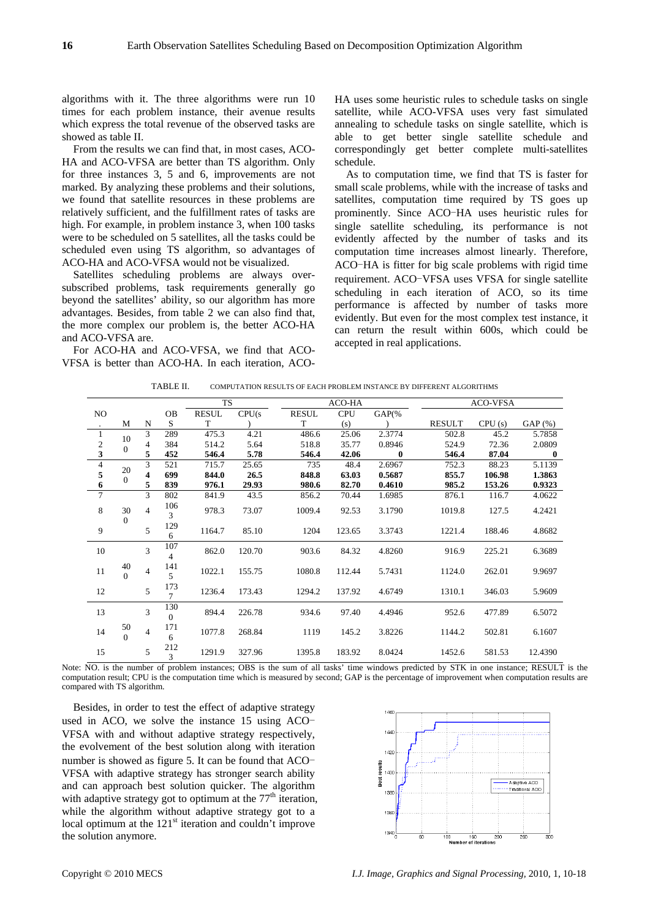algorithms with it. The three algorithms were run 10 times for each problem instance, their avenue results which express the total revenue of the observed tasks are showed as table II.

From the results we can find that, in most cases, ACO-HA and ACO-VFSA are better than TS algorithm. Only for three instances 3, 5 and 6, improvements are not marked. By analyzing these problems and their solutions, we found that satellite resources in these problems are relatively sufficient, and the fulfillment rates of tasks are high. For example, in problem instance 3, when 100 tasks were to be scheduled on 5 satellites, all the tasks could be scheduled even using TS algorithm, so advantages of ACO-HA and ACO-VFSA would not be visualized.

Satellites scheduling problems are always oversubscribed problems, task requirements generally go beyond the satellites' ability, so our algorithm has more advantages. Besides, from table 2 we can also find that, the more complex our problem is, the better ACO-HA and ACO-VFSA are.

For ACO-HA and ACO-VFSA, we find that ACO-VFSA is better than ACO-HA. In each iteration, ACO- HA uses some heuristic rules to schedule tasks on single satellite, while ACO-VFSA uses very fast simulated annealing to schedule tasks on single satellite, which is able to get better single satellite schedule and correspondingly get better complete multi-satellites schedule.

As to computation time, we find that TS is faster for small scale problems, while with the increase of tasks and satellites, computation time required by TS goes up prominently. Since ACO-HA uses heuristic rules for single satellite scheduling, its performance is not evidently affected by the number of tasks and its computation time increases almost linearly. Therefore, ACO-HA is fitter for big scale problems with rigid time requirement. ACO-VFSA uses VFSA for single satellite scheduling in each iteration of ACO, so its time performance is affected by number of tasks more evidently. But even for the most complex test instance, it can return the result within 600s, which could be accepted in real applications.

|                  |                |                |                       | <b>TS</b>    |        |              | ACO-HA     |          |               | <b>ACO-VFSA</b> |          |  |
|------------------|----------------|----------------|-----------------------|--------------|--------|--------------|------------|----------|---------------|-----------------|----------|--|
| NO.              |                |                | OB                    | <b>RESUL</b> | CPU(s) | <b>RESUL</b> | <b>CPU</b> | $GAP$ (% |               |                 |          |  |
| $\cdot$          | M              | N              | S                     | T            |        | T            | (s)        |          | <b>RESULT</b> | CPU(s)          | GAP(%)   |  |
| $\mathbf{1}$     | 10             | 3              | 289                   | 475.3        | 4.21   | 486.6        | 25.06      | 2.3774   | 502.8         | 45.2            | 5.7858   |  |
| $\frac{2}{3}$    | $\mathbf{0}$   | 4              | 384                   | 514.2        | 5.64   | 518.8        | 35.77      | 0.8946   | 524.9         | 72.36           | 2.0809   |  |
|                  |                | 5              | 452                   | 546.4        | 5.78   | 546.4        | 42.06      | $\bf{0}$ | 546.4         | 87.04           | $\bf{0}$ |  |
| $\overline{4}$   | 20             | 3              | 521                   | 715.7        | 25.65  | 735          | 48.4       | 2.6967   | 752.3         | 88.23           | 5.1139   |  |
| 5                | $\Omega$       | 4              | 699                   | 844.0        | 26.5   | 848.8        | 63.03      | 0.5687   | 855.7         | 106.98          | 1.3863   |  |
| $\boldsymbol{6}$ |                | 5              | 839                   | 976.1        | 29.93  | 980.6        | 82.70      | 0.4610   | 985.2         | 153.26          | 0.9323   |  |
| $\overline{7}$   |                | 3              | 802                   | 841.9        | 43.5   | 856.2        | 70.44      | 1.6985   | 876.1         | 116.7           | 4.0622   |  |
| 8                | 30             | $\overline{4}$ | 106                   | 978.3        | 73.07  | 1009.4       | 92.53      | 3.1790   | 1019.8        | 127.5           | 4.2421   |  |
|                  | $\mathbf{0}$   |                | 3                     |              |        |              |            |          |               |                 |          |  |
| 9                |                | 5              | 129                   | 1164.7       | 85.10  | 1204         | 123.65     | 3.3743   | 1221.4        | 188.46          | 4.8682   |  |
|                  |                |                | 6                     |              |        |              |            |          |               |                 |          |  |
| 10               |                | 3              | 107                   | 862.0        | 120.70 | 903.6        | 84.32      | 4.8260   | 916.9         | 225.21          | 6.3689   |  |
|                  |                |                | 4                     |              |        |              |            |          |               |                 |          |  |
| 11               | 40             | $\overline{4}$ | 141                   | 1022.1       | 155.75 | 1080.8       | 112.44     | 5.7431   | 1124.0        | 262.01          | 9.9697   |  |
|                  | $\Omega$       |                | 5                     |              |        |              |            |          |               |                 |          |  |
| 12               |                | 5              | 173<br>$\overline{7}$ | 1236.4       | 173.43 | 1294.2       | 137.92     | 4.6749   | 1310.1        | 346.03          | 5.9609   |  |
|                  |                |                |                       |              |        |              |            |          |               |                 |          |  |
| 13               |                | 3              | 130<br>$\Omega$       | 894.4        | 226.78 | 934.6        | 97.40      | 4.4946   | 952.6         | 477.89          | 6.5072   |  |
|                  |                |                |                       |              |        |              |            |          |               |                 |          |  |
| 14               | 50<br>$\Omega$ | $\overline{4}$ | 171<br>6              | 1077.8       | 268.84 | 1119         | 145.2      | 3.8226   | 1144.2        | 502.81          | 6.1607   |  |
|                  |                |                |                       |              |        |              |            |          |               |                 |          |  |
| 15               |                | 5              | 212<br>3              | 1291.9       | 327.96 | 1395.8       | 183.92     | 8.0424   | 1452.6        | 581.53          | 12.4390  |  |
|                  |                |                |                       |              |        |              |            |          |               |                 |          |  |

Note: NO. is the number of problem instances; OBS is the sum of all tasks' time windows predicted by STK in one instance; RESULT is the computation result; CPU is the computation time which is measured by second; GAP is the percentage of improvement when computation results are compared with TS algorithm.

Besides, in order to test the effect of adaptive strategy used in ACO, we solve the instance 15 using ACO-VFSA with and without adaptive strategy respectively, the evolvement of the best solution along with iteration number is showed as figure 5. It can be found that ACO-VFSA with adaptive strategy has stronger search ability and can approach best solution quicker. The algorithm with adaptive strategy got to optimum at the  $77<sup>th</sup>$  iteration, while the algorithm without adaptive strategy got to a local optimum at the  $121<sup>st</sup>$  iteration and couldn't improve the solution anymore.

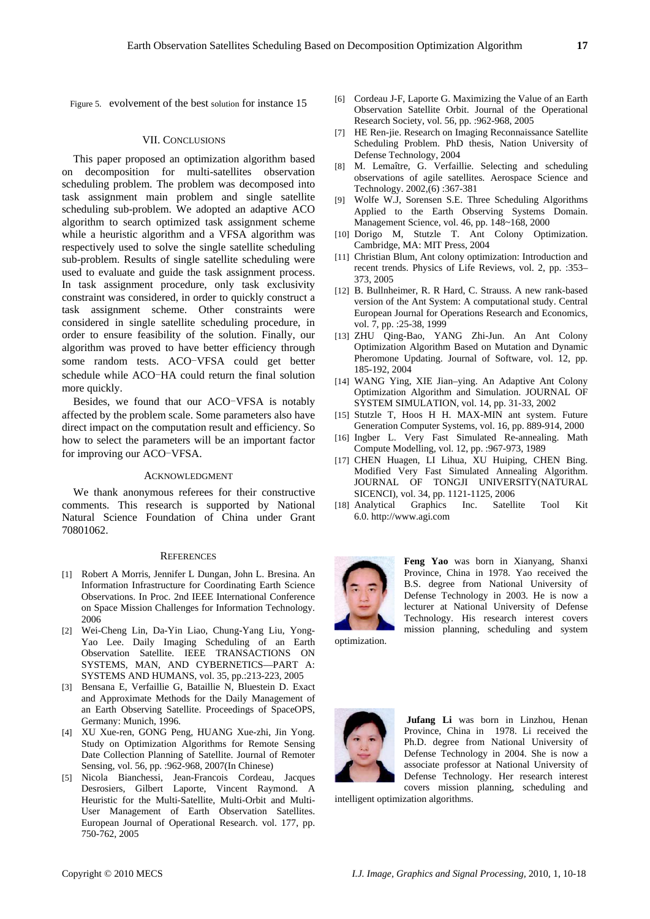Figure 5. evolvement of the best solution for instance 15

#### VII. CONCLUSIONS

This paper proposed an optimization algorithm based on decomposition for multi-satellites observation scheduling problem. The problem was decomposed into task assignment main problem and single satellite scheduling sub-problem. We adopted an adaptive ACO algorithm to search optimized task assignment scheme while a heuristic algorithm and a VFSA algorithm was respectively used to solve the single satellite scheduling sub-problem. Results of single satellite scheduling were used to evaluate and guide the task assignment process. In task assignment procedure, only task exclusivity constraint was considered, in order to quickly construct a task assignment scheme. Other constraints were considered in single satellite scheduling procedure, in order to ensure feasibility of the solution. Finally, our algorithm was proved to have better efficiency through some random tests. ACO-VFSA could get better schedule while ACO-HA could return the final solution more quickly.

Besides, we found that our ACO-VFSA is notably affected by the problem scale. Some parameters also have direct impact on the computation result and efficiency. So how to select the parameters will be an important factor for improving our ACO-VFSA.

#### ACKNOWLEDGMENT

We thank anonymous referees for their constructive comments. This research is supported by National Natural Science Foundation of China under Grant 70801062.

#### **REFERENCES**

- [1] Robert A Morris, Jennifer L Dungan, John L. Bresina. An Information Infrastructure for Coordinating Earth Science Observations. In Proc. 2nd IEEE International Conference on Space Mission Challenges for Information Technology. 2006
- [2] Wei-Cheng Lin, Da-Yin Liao, Chung-Yang Liu, Yong-Yao Lee. Daily Imaging Scheduling of an Earth Observation Satellite. IEEE TRANSACTIONS ON SYSTEMS, MAN, AND CYBERNETICS—PART A: SYSTEMS AND HUMANS, vol. 35, pp.:213-223, 2005
- [3] Bensana E, Verfaillie G, Bataillie N, Bluestein D. Exact and Approximate Methods for the Daily Management of an Earth Observing Satellite. Proceedings of SpaceOPS, Germany: Munich, 1996.
- [4] XU Xue-ren, GONG Peng, HUANG Xue-zhi, Jin Yong. Study on Optimization Algorithms for Remote Sensing Date Collection Planning of Satellite. Journal of Remoter Sensing, vol. 56, pp. :962-968, 2007(In Chinese)
- [5] Nicola Bianchessi, Jean-Francois Cordeau, Jacques Desrosiers, Gilbert Laporte, Vincent Raymond. A Heuristic for the Multi-Satellite, Multi-Orbit and Multi-User Management of Earth Observation Satellites. European Journal of Operational Research. vol. 177, pp. 750-762, 2005
- [6] Cordeau J-F, Laporte G. Maximizing the Value of an Earth Observation Satellite Orbit. Journal of the Operational Research Society, vol. 56, pp. :962-968, 2005
- [7] HE Ren-jie. Research on Imaging Reconnaissance Satellite Scheduling Problem. PhD thesis, Nation University of Defense Technology, 2004
- [8] M. Lemaître, G. Verfaillie. Selecting and scheduling observations of agile satellites. Aerospace Science and Technology. 2002,(6) :367-381
- [9] Wolfe W.J, Sorensen S.E. Three Scheduling Algorithms Applied to the Earth Observing Systems Domain. Management Science, vol. 46, pp. 148~168, 2000
- [10] Dorigo M, Stutzle T. Ant Colony Optimization. Cambridge, MA: MIT Press, 2004
- [11] Christian Blum, Ant colony optimization: Introduction and recent trends. Physics of Life Reviews, vol. 2, pp. :353– 373, 2005
- [12] B. Bullnheimer, R. R Hard, C. Strauss. A new rank-based version of the Ant System: A computational study. Central European Journal for Operations Research and Economics, vol. 7, pp. :25-38, 1999
- [13] ZHU Qing-Bao, YANG Zhi-Jun. An Ant Colony Optimization Algorithm Based on Mutation and Dynamic Pheromone Updating. Journal of Software, vol. 12, pp. 185-192, 2004
- [14] WANG Ying, XIE Jian–ying. An Adaptive Ant Colony Optimization Algorithm and Simulation. JOURNAL OF SYSTEM SIMULATION, vol. 14, pp. 31-33, 2002
- [15] Stutzle T, Hoos H H. MAX-MIN ant system. Future Generation Computer Systems, vol. 16, pp. 889-914, 2000
- [16] Ingber L. Very Fast Simulated Re-annealing. Math Compute Modelling, vol. 12, pp. :967-973, 1989
- [17] CHEN Huagen, LI Lihua, XU Huiping, CHEN Bing. Modified Very Fast Simulated Annealing Algorithm. JOURNAL OF TONGJI UNIVERSITY(NATURAL SICENCI), vol. 34, pp. 1121-1125, 2006
- [18] Analytical Graphics Inc. Satellite Tool Kit 6.0. [http://www.agi.co](http://www.agi.com/)m



mission planning, scheduling and system **Feng Yao** was born in Xianyang, Shanxi Province, China in 1978. Yao received the B.S. degree from National University of Defense Technology in 2003. He is now a lecturer at National University of Defense Technology. His research interest covers

optimization.



covers mission planning, scheduling and  **Jufang Li** was born in Linzhou, Henan Province, China in 1978. Li received the Ph.D. degree from National University of Defense Technology in 2004. She is now a associate professor at National University of Defense Technology. Her research interest

intelligent optimization algorithms.